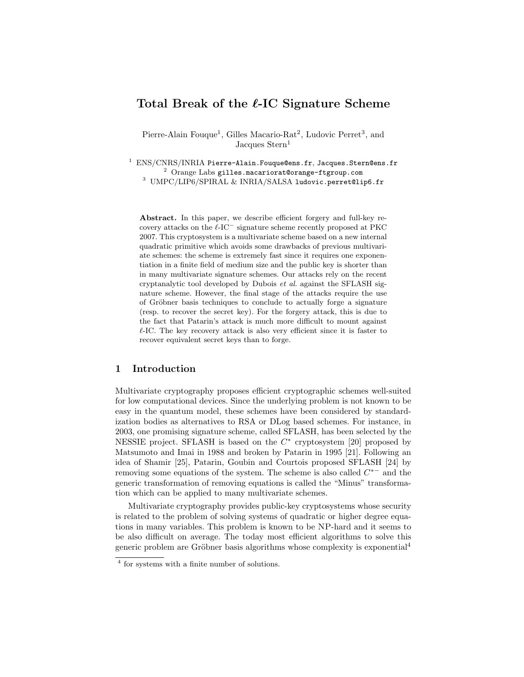# Total Break of the  $\ell$ -IC Signature Scheme

Pierre-Alain Fouque<sup>1</sup>, Gilles Macario-Rat<sup>2</sup>, Ludovic Perret<sup>3</sup>, and Jacques Stern<sup>1</sup>

 $1$  ENS/CNRS/INRIA Pierre-Alain. Fouque@ens.fr, Jacques. Stern@ens.fr  $^2$  Orange Labs gilles.macariorat@orange-ftgroup.com <sup>3</sup> UMPC/LIP6/SPIRAL & INRIA/SALSA ludovic.perret@lip6.fr

Abstract. In this paper, we describe efficient forgery and full-key recovery attacks on the  $\ell$ -IC<sup> $-$ </sup> signature scheme recently proposed at PKC 2007. This cryptosystem is a multivariate scheme based on a new internal quadratic primitive which avoids some drawbacks of previous multivariate schemes: the scheme is extremely fast since it requires one exponentiation in a finite field of medium size and the public key is shorter than in many multivariate signature schemes. Our attacks rely on the recent cryptanalytic tool developed by Dubois et al. against the SFLASH signature scheme. However, the final stage of the attacks require the use of Gröbner basis techniques to conclude to actually forge a signature (resp. to recover the secret key). For the forgery attack, this is due to the fact that Patarin's attack is much more difficult to mount against  $\ell$ -IC. The key recovery attack is also very efficient since it is faster to recover equivalent secret keys than to forge.

# 1 Introduction

Multivariate cryptography proposes efficient cryptographic schemes well-suited for low computational devices. Since the underlying problem is not known to be easy in the quantum model, these schemes have been considered by standardization bodies as alternatives to RSA or DLog based schemes. For instance, in 2003, one promising signature scheme, called SFLASH, has been selected by the NESSIE project. SFLASH is based on the  $C^*$  cryptosystem [20] proposed by Matsumoto and Imai in 1988 and broken by Patarin in 1995 [21]. Following an idea of Shamir [25], Patarin, Goubin and Courtois proposed SFLASH [24] by removing some equations of the system. The scheme is also called  $C^*$  and the generic transformation of removing equations is called the "Minus" transformation which can be applied to many multivariate schemes.

Multivariate cryptography provides public-key cryptosystems whose security is related to the problem of solving systems of quadratic or higher degree equations in many variables. This problem is known to be NP-hard and it seems to be also difficult on average. The today most efficient algorithms to solve this generic problem are Gröbner basis algorithms whose complexity is exponential<sup>4</sup>

<sup>4</sup> for systems with a finite number of solutions.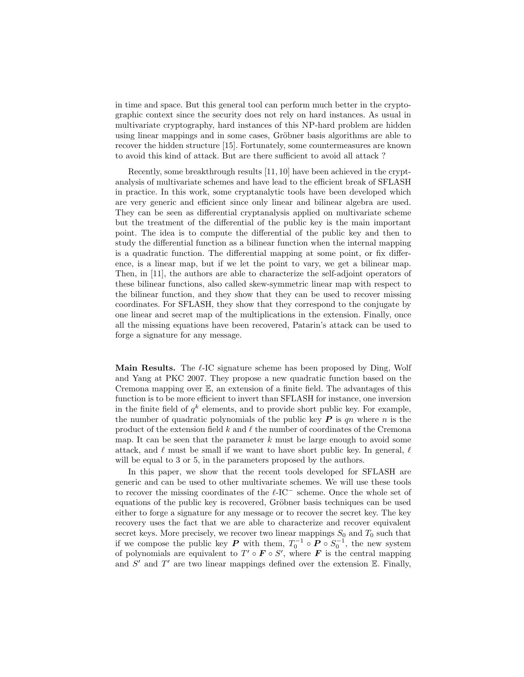in time and space. But this general tool can perform much better in the cryptographic context since the security does not rely on hard instances. As usual in multivariate cryptography, hard instances of this NP-hard problem are hidden using linear mappings and in some cases, Gröbner basis algorithms are able to recover the hidden structure [15]. Fortunately, some countermeasures are known to avoid this kind of attack. But are there sufficient to avoid all attack ?

Recently, some breakthrough results [11, 10] have been achieved in the cryptanalysis of multivariate schemes and have lead to the efficient break of SFLASH in practice. In this work, some cryptanalytic tools have been developed which are very generic and efficient since only linear and bilinear algebra are used. They can be seen as differential cryptanalysis applied on multivariate scheme but the treatment of the differential of the public key is the main important point. The idea is to compute the differential of the public key and then to study the differential function as a bilinear function when the internal mapping is a quadratic function. The differential mapping at some point, or fix difference, is a linear map, but if we let the point to vary, we get a bilinear map. Then, in [11], the authors are able to characterize the self-adjoint operators of these bilinear functions, also called skew-symmetric linear map with respect to the bilinear function, and they show that they can be used to recover missing coordinates. For SFLASH, they show that they correspond to the conjugate by one linear and secret map of the multiplications in the extension. Finally, once all the missing equations have been recovered, Patarin's attack can be used to forge a signature for any message.

**Main Results.** The  $\ell$ -IC signature scheme has been proposed by Ding, Wolf and Yang at PKC 2007. They propose a new quadratic function based on the Cremona mapping over E, an extension of a finite field. The advantages of this function is to be more efficient to invert than SFLASH for instance, one inversion in the finite field of  $q^k$  elements, and to provide short public key. For example, the number of quadratic polynomials of the public key  $P$  is qn where n is the product of the extension field  $k$  and  $\ell$  the number of coordinates of the Cremona map. It can be seen that the parameter  $k$  must be large enough to avoid some attack, and  $\ell$  must be small if we want to have short public key. In general,  $\ell$ will be equal to 3 or 5, in the parameters proposed by the authors.

In this paper, we show that the recent tools developed for SFLASH are generic and can be used to other multivariate schemes. We will use these tools to recover the missing coordinates of the  $\ell$ -IC<sup>-</sup> scheme. Once the whole set of equations of the public key is recovered, Gröbner basis techniques can be used either to forge a signature for any message or to recover the secret key. The key recovery uses the fact that we are able to characterize and recover equivalent secret keys. More precisely, we recover two linear mappings  $S_0$  and  $T_0$  such that if we compose the public key  $P$  with them,  $T_0^{-1} \circ P \circ S_0^{-1}$ , the new system of polynomials are equivalent to  $T' \circ F \circ S'$ , where F is the central mapping and  $S'$  and  $T'$  are two linear mappings defined over the extension  $E$ . Finally,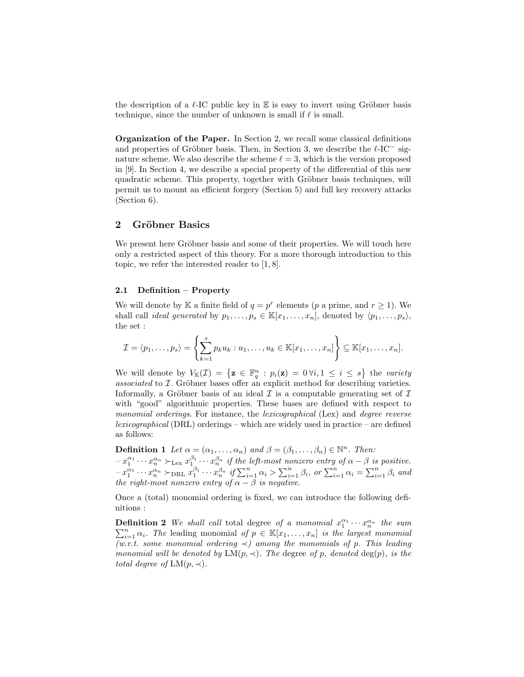the description of a  $\ell$ -IC public key in E is easy to invert using Gröbner basis technique, since the number of unknown is small if  $\ell$  is small.

Organization of the Paper. In Section 2, we recall some classical definitions and properties of Gröbner basis. Then, in Section 3, we describe the  $\ell$ -IC<sup>-</sup> signature scheme. We also describe the scheme  $\ell = 3$ , which is the version proposed in [9]. In Section 4, we describe a special property of the differential of this new quadratic scheme. This property, together with Gröbner basis techniques, will permit us to mount an efficient forgery (Section 5) and full key recovery attacks (Section 6).

# 2 Gröbner Basics

We present here Gröbner basis and some of their properties. We will touch here only a restricted aspect of this theory. For a more thorough introduction to this topic, we refer the interested reader to [1, 8].

#### 2.1 Definition – Property

We will denote by K a finite field of  $q = p^r$  elements (p a prime, and  $r \ge 1$ ). We shall call *ideal generated* by  $p_1, \ldots, p_s \in \mathbb{K}[x_1, \ldots, x_n]$ , denoted by  $\langle p_1, \ldots, p_s \rangle$ , the set :

$$
\mathcal{I} = \langle p_1, \ldots, p_s \rangle = \left\{ \sum_{k=1}^s p_k u_k : u_1, \ldots, u_k \in \mathbb{K}[x_1, \ldots, x_n] \right\} \subseteq \mathbb{K}[x_1, \ldots, x_n].
$$

We will denote by  $V_{\mathbb{K}}(\mathcal{I}) = \{ \mathbf{z} \in \mathbb{F}_q^n : p_i(\mathbf{z}) = 0 \forall i, 1 \leq i \leq s \}$  the variety  $associated$  to  $I$ . Gröbner bases offer an explicit method for describing varieties. Informally, a Gröbner basis of an ideal  $\mathcal I$  is a computable generating set of  $\mathcal I$ with "good" algorithmic properties. These bases are defined with respect to monomial orderings. For instance, the lexicographical (Lex) and degree reverse lexicographical (DRL) orderings – which are widely used in practice – are defined as follows:

**Definition 1** Let  $\alpha = (\alpha_1, \dots, \alpha_n)$  and  $\beta = (\beta_1, \dots, \beta_n) \in \mathbb{N}^n$ . Then:  $-x_1^{\alpha_1}\cdots x_n^{\alpha_n} \succ_{\text{Lex}} x_1^{\beta_1}\cdots x_n^{\beta_n}$  if the left-most nonzero entry of  $\alpha-\beta$  is positive.  $-x_1^{\alpha_1} \cdots x_n^{\alpha_n} \succ_{\text{DRL}} x_1^{\beta_1} \cdots x_n^{\beta_n}$  if  $\sum_{i=1}^n \alpha_i > \sum_{i=1}^n \beta_i$ , or  $\sum_{i=1}^n \alpha_i = \sum_{i=1}^n \beta_i$  and the right-most nonzero entry of  $\alpha - \beta$  is negative.

Once a (total) monomial ordering is fixed, we can introduce the following definitions :

**Definition 2** We shall call total degree of a monomial  $x_1^{\alpha_1} \cdots x_n^{\alpha_n}$  the sum **Definition 2** we shall call total degree of a monomial  $x_1 \cdots x_n$  are same.<br> $\sum_{i=1}^n \alpha_i$ . The leading monomial of  $p \in \mathbb{K}[x_1,\ldots,x_n]$  is the largest monomial  $(w.r.t. some monomial ordering <) among the monomials of p. This leading$ monomial will be denoted by  $LM(p, \prec)$ . The degree of p, denoted deg(p), is the total degree of  $LM(p, \prec)$ .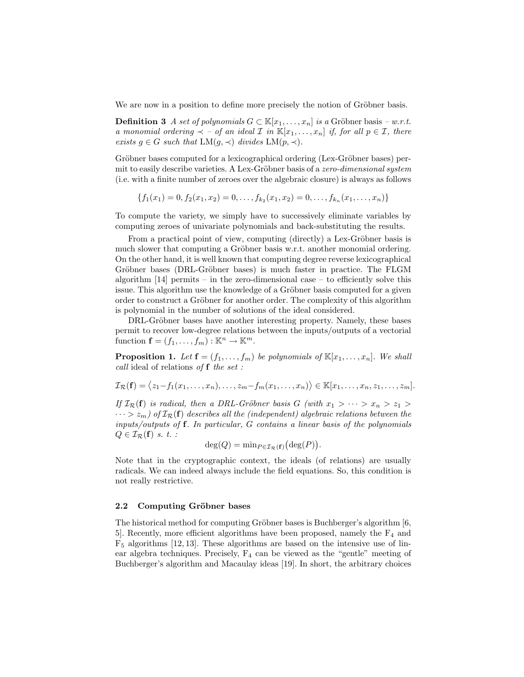We are now in a position to define more precisely the notion of Gröbner basis.

**Definition 3** A set of polynomials  $G \subset \mathbb{K}[x_1,\ldots,x_n]$  is a Gröbner basis – w.r.t. a monomial ordering  $\prec$  – of an ideal  $\mathcal I$  in  $\mathbb K[x_1,\ldots,x_n]$  if, for all  $p \in \mathcal I$ , there exists  $g \in G$  such that  $LM(g, \prec)$  divides  $LM(p, \prec)$ .

Gröbner bases computed for a lexicographical ordering (Lex-Gröbner bases) permit to easily describe varieties. A Lex-Gröbner basis of a *zero-dimensional system* (i.e. with a finite number of zeroes over the algebraic closure) is always as follows

$$
\{f_1(x_1)=0, f_2(x_1, x_2)=0, \ldots, f_{k_2}(x_1, x_2)=0, \ldots, f_{k_n}(x_1, \ldots, x_n)\}
$$

To compute the variety, we simply have to successively eliminate variables by computing zeroes of univariate polynomials and back-substituting the results.

From a practical point of view, computing (directly) a Lex-Gröbner basis is much slower that computing a Gröbner basis w.r.t. another monomial ordering. On the other hand, it is well known that computing degree reverse lexicographical Gröbner bases (DRL-Gröbner bases) is much faster in practice. The FLGM algorithm  $[14]$  permits – in the zero-dimensional case – to efficiently solve this issue. This algorithm use the knowledge of a Gröbner basis computed for a given order to construct a Gröbner for another order. The complexity of this algorithm is polynomial in the number of solutions of the ideal considered.

DRL-Gröbner bases have another interesting property. Namely, these bases permit to recover low-degree relations between the inputs/outputs of a vectorial function  $\mathbf{f} = (f_1, \ldots, f_m) : \mathbb{K}^n \to \mathbb{K}^m$ .

**Proposition 1.** Let  $f = (f_1, \ldots, f_m)$  be polynomials of  $\mathbb{K}[x_1, \ldots, x_n]$ . We shall call ideal of relations of f the set :

$$
\mathcal{I}_{\mathcal{R}}(\mathbf{f}) = \langle z_1 - f_1(x_1, \ldots, x_n), \ldots, z_m - f_m(x_1, \ldots, x_n) \rangle \in \mathbb{K}[x_1, \ldots, x_n, z_1, \ldots, z_m].
$$

If  $\mathcal{I}_{\mathcal{R}}(\mathbf{f})$  is radical, then a DRL-Gröbner basis G (with  $x_1 > \cdots > x_n > z_1 >$  $\cdots > z_m$ ) of  $\mathcal{I}_{\mathcal{R}}(\mathbf{f})$  describes all the (independent) algebraic relations between the inputs/outputs of f. In particular, G contains a linear basis of the polynomials  $Q \in \mathcal{I}_{\mathcal{R}}(\mathbf{f})$  s. t. :

$$
\deg(Q) = \min_{P \in \mathcal{I}_{\mathcal{R}}(\mathbf{f})} (\deg(P)).
$$

Note that in the cryptographic context, the ideals (of relations) are usually radicals. We can indeed always include the field equations. So, this condition is not really restrictive.

#### 2.2 Computing Gröbner bases

The historical method for computing Gröbner bases is Buchberger's algorithm  $[6,$ 5. Recently, more efficient algorithms have been proposed, namely the  $F_4$  and  $F<sub>5</sub>$  algorithms [12, 13]. These algorithms are based on the intensive use of linear algebra techniques. Precisely,  $F_4$  can be viewed as the "gentle" meeting of Buchberger's algorithm and Macaulay ideas [19]. In short, the arbitrary choices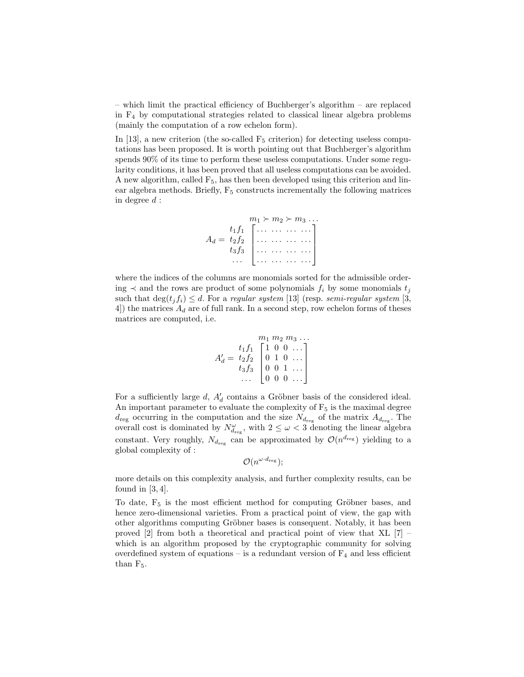– which limit the practical efficiency of Buchberger's algorithm – are replaced in F<sup>4</sup> by computational strategies related to classical linear algebra problems (mainly the computation of a row echelon form).

In [13], a new criterion (the so-called  $F_5$  criterion) for detecting useless computations has been proposed. It is worth pointing out that Buchberger's algorithm spends 90% of its time to perform these useless computations. Under some regularity conditions, it has been proved that all useless computations can be avoided. A new algorithm, called  $F_5$ , has then been developed using this criterion and linear algebra methods. Briefly,  $F_5$  constructs incrementally the following matrices in degree  $d$ :



where the indices of the columns are monomials sorted for the admissible ordering  $\prec$  and the rows are product of some polynomials  $f_i$  by some monomials  $t_i$ such that  $\deg(t_j f_i) \leq d$ . For a regular system [13] (resp. semi-regular system [3, 4) the matrices  $A_d$  are of full rank. In a second step, row echelon forms of theses matrices are computed, i.e.

$$
A'_d = \begin{bmatrix} t_1 f_1 \\ t_2 f_2 \\ t_3 f_3 \\ \dots \\ \dots \\ 0 \end{bmatrix} \begin{bmatrix} m_1 & m_2 & m_3 & \dots \\ 1 & 0 & 0 & \dots \\ 0 & 1 & 0 & \dots \\ 0 & 0 & 1 & \dots \\ 0 & 0 & 0 & \dots \end{bmatrix}
$$

For a sufficiently large  $d$ ,  $A'_d$  contains a Gröbner basis of the considered ideal. An important parameter to evaluate the complexity of  $F_5$  is the maximal degree  $d_{\text{reg}}$  occurring in the computation and the size  $N_{d_{\text{reg}}}$  of the matrix  $A_{d_{\text{reg}}}$ . The overall cost is dominated by  $N^{\omega}_{d_{reg}}$ , with  $2 \leq \omega < 3$  denoting the linear algebra constant. Very roughly,  $N_{d_{\text{reg}}}$  can be approximated by  $\mathcal{O}(n^{d_{\text{reg}}})$  yielding to a global complexity of :

$$
\mathcal{O}(n^{\omega \cdot d_{\text{reg}}});
$$

more details on this complexity analysis, and further complexity results, can be found in  $[3, 4]$ .

To date,  $F_5$  is the most efficient method for computing Gröbner bases, and hence zero-dimensional varieties. From a practical point of view, the gap with other algorithms computing Gröbner bases is consequent. Notably, it has been proved [2] from both a theoretical and practical point of view that XL [7] – which is an algorithm proposed by the cryptographic community for solving overdefined system of equations – is a redundant version of  $F_4$  and less efficient than  $F_5$ .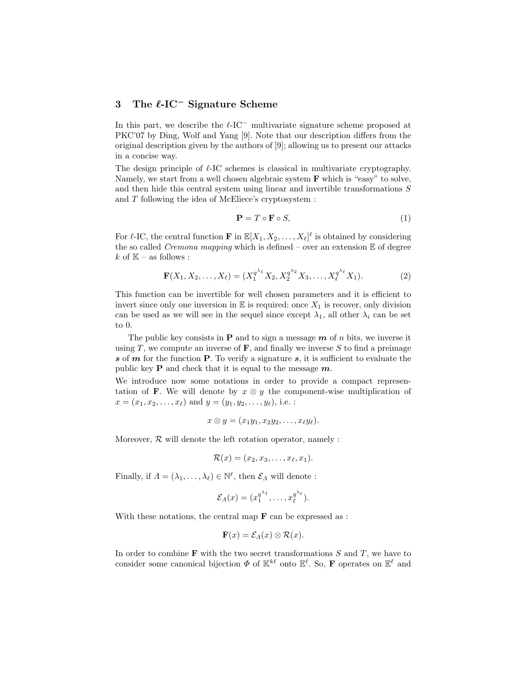# 3 The  $\ell$ -IC<sup>−</sup> Signature Scheme

In this part, we describe the  $\ell$ -IC<sup>-</sup> multivariate signature scheme proposed at PKC'07 by Ding, Wolf and Yang [9]. Note that our description differs from the original description given by the authors of [9]; allowing us to present our attacks in a concise way.

The design principle of  $\ell$ -IC schemes is classical in multivariate cryptography. Namely, we start from a well chosen algebraic system **F** which is "easy" to solve, and then hide this central system using linear and invertible transformations S and T following the idea of McEliece's cryptosystem :

$$
\mathbf{P} = T \circ \mathbf{F} \circ S,\tag{1}
$$

For  $\ell$ -IC, the central function **F** in  $\mathbb{E}[X_1, X_2, \ldots, X_\ell]^\ell$  is obtained by considering the so called *Cremona mapping* which is defined – over an extension  $E$  of degree k of  $\mathbb{K}$  – as follows :

$$
\mathbf{F}(X_1, X_2, \dots, X_\ell) = (X_1^{q^{\lambda_1}} X_2, X_2^{q^{\lambda_2}} X_3, \dots, X_\ell^{q^{\lambda_\ell}} X_1). \tag{2}
$$

This function can be invertible for well chosen parameters and it is efficient to invert since only one inversion in  $E$  is required: once  $X_1$  is recover, only division can be used as we will see in the sequel since except  $\lambda_1$ , all other  $\lambda_i$  can be set to 0.

The public key consists in **P** and to sign a message  $m$  of n bits, we inverse it using T, we compute an inverse of  $\bf{F}$ , and finally we inverse S to find a preimage s of  $m$  for the function  $P$ . To verify a signature  $s$ , it is sufficient to evaluate the public key **P** and check that it is equal to the message  $m$ .

We introduce now some notations in order to provide a compact representation of F. We will denote by  $x \otimes y$  the component-wise multiplication of  $x = (x_1, x_2, \ldots, x_\ell)$  and  $y = (y_1, y_2, \ldots, y_\ell)$ , i.e. :

$$
x\otimes y=(x_1y_1,x_2y_2,\ldots,x_\ell y_\ell).
$$

Moreover,  $R$  will denote the left rotation operator, namely :

$$
\mathcal{R}(x)=(x_2,x_3,\ldots,x_\ell,x_1).
$$

Finally, if  $\Lambda = (\lambda_1, \ldots, \lambda_\ell) \in \mathbb{N}^\ell$ , then  $\mathcal{E}_\Lambda$  will denote :

$$
\mathcal{E}_\Lambda(x)=(x_1^{q^{\lambda_1}},\ldots,x_\ell^{q^{\lambda_\ell}}).
$$

With these notations, the central map  $\bf{F}$  can be expressed as :

$$
\mathbf{F}(x) = \mathcal{E}_A(x) \otimes \mathcal{R}(x).
$$

In order to combine  $\bf F$  with the two secret transformations  $S$  and  $T$ , we have to consider some canonical bijection  $\Phi$  of  $\mathbb{K}^{k\ell}$  onto  $\mathbb{E}^{\ell}$ . So, **F** operates on  $\mathbb{E}^{\ell}$  and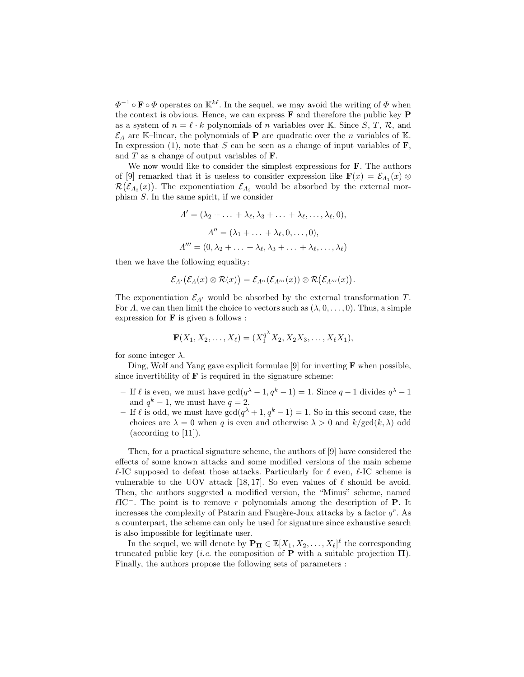$\Phi^{-1} \circ \mathbf{F} \circ \Phi$  operates on  $\mathbb{K}^{k\ell}$ . In the sequel, we may avoid the writing of  $\Phi$  when the context is obvious. Hence, we can express  $\bf{F}$  and therefore the public key  $\bf{P}$ as a system of  $n = \ell \cdot k$  polynomials of n variables over K. Since S, T, R, and  $\mathcal{E}_\Lambda$  are K–linear, the polynomials of **P** are quadratic over the *n* variables of K. In expression (1), note that  $S$  can be seen as a change of input variables of  $\mathbf{F}$ , and  $T$  as a change of output variables of  $\mathbf{F}$ .

We now would like to consider the simplest expressions for **F**. The authors of [9] remarked that it is useless to consider expression like  $\mathbf{F}(x) = \mathcal{E}_{A_1}(x) \otimes$  $\mathcal{R}(\mathcal{E}_{A_2}(x))$ . The exponentiation  $\mathcal{E}_{A_2}$  would be absorbed by the external morphism S. In the same spirit, if we consider

$$
\Lambda' = (\lambda_2 + \dots + \lambda_\ell, \lambda_3 + \dots + \lambda_\ell, \dots, \lambda_\ell, 0),
$$
  

$$
\Lambda'' = (\lambda_1 + \dots + \lambda_\ell, 0, \dots, 0),
$$
  

$$
\Lambda''' = (0, \lambda_2 + \dots + \lambda_\ell, \lambda_3 + \dots + \lambda_\ell, \dots, \lambda_\ell)
$$

then we have the following equality:

$$
\mathcal{E}_{A'}(\mathcal{E}_A(x)\otimes \mathcal{R}(x))=\mathcal{E}_{A''}(\mathcal{E}_{A'''}(x))\otimes \mathcal{R}(\mathcal{E}_{A'''}(x)).
$$

The exponentiation  $\mathcal{E}_{\Lambda'}$  would be absorbed by the external transformation T. For  $\Lambda$ , we can then limit the choice to vectors such as  $(\lambda, 0, \ldots, 0)$ . Thus, a simple expression for  $\bf{F}$  is given a follows :

$$
\mathbf{F}(X_1, X_2, \dots, X_{\ell}) = (X_1^{q^{\lambda}} X_2, X_2 X_3, \dots, X_{\ell} X_1),
$$

for some integer  $\lambda$ .

Ding, Wolf and Yang gave explicit formulae [9] for inverting  $\bf{F}$  when possible, since invertibility of  **is required in the signature scheme:** 

- If  $\ell$  is even, we must have  $gcd(q^{\lambda} 1, q^{k} 1) = 1$ . Since  $q 1$  divides  $q^{\lambda} 1$ and  $q^k-1$ , we must have  $q=2$ .
- If  $\ell$  is odd, we must have  $gcd(q^{\lambda} + 1, q^k 1) = 1$ . So in this second case, the choices are  $\lambda = 0$  when q is even and otherwise  $\lambda > 0$  and  $k/gcd(k, \lambda)$  odd (according to [11]).

Then, for a practical signature scheme, the authors of [9] have considered the effects of some known attacks and some modified versions of the main scheme  $\ell$ -IC supposed to defeat those attacks. Particularly for  $\ell$  even,  $\ell$ -IC scheme is vulnerable to the UOV attack [18, 17]. So even values of  $\ell$  should be avoid. Then, the authors suggested a modified version, the "Minus" scheme, named  $\ell$ IC<sup>−</sup>. The point is to remove r polynomials among the description of **P**. It increases the complexity of Patarin and Faugère-Joux attacks by a factor  $q^r$ . As a counterpart, the scheme can only be used for signature since exhaustive search is also impossible for legitimate user.

In the sequel, we will denote by  $\mathbf{P}_{\Pi} \in \mathbb{E}[X_1, X_2, \dots, X_{\ell}]^{\ell}$  the corresponding truncated public key (*i.e.* the composition of **P** with a suitable projection  $\Pi$ ). Finally, the authors propose the following sets of parameters :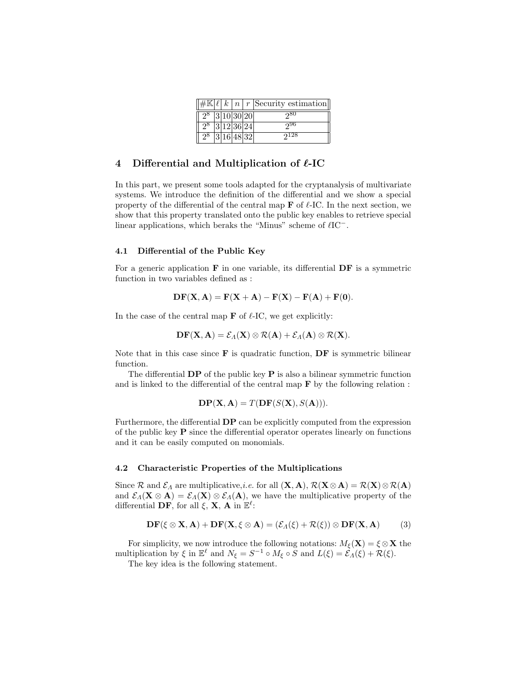|                   |  |  | $\left \#\mathbb{K}\left[\ell\right]k\right n\right r$ Security estimation |
|-------------------|--|--|----------------------------------------------------------------------------|
| $2^8$  3 10 30 20 |  |  | <b>980</b>                                                                 |
| $2^8$ 3 12 36 24  |  |  | 996                                                                        |
| $2^8$  3 16 48 32 |  |  | $2^{128}$                                                                  |

### 4 Differential and Multiplication of  $\ell$ -IC

In this part, we present some tools adapted for the cryptanalysis of multivariate systems. We introduce the definition of the differential and we show a special property of the differential of the central map  $\bf{F}$  of  $\ell$ -IC. In the next section, we show that this property translated onto the public key enables to retrieve special linear applications, which beraks the "Minus" scheme of  $\ell I$ C<sup>-</sup>.

#### 4.1 Differential of the Public Key

For a generic application  $\bf{F}$  in one variable, its differential  $\bf{DF}$  is a symmetric function in two variables defined as :

$$
DF(X, A) = F(X + A) - F(X) - F(A) + F(0).
$$

In the case of the central map  $\bf{F}$  of  $\ell$ -IC, we get explicitly:

$$
\mathbf{DF}(\mathbf{X}, \mathbf{A}) = \mathcal{E}_{\Lambda}(\mathbf{X}) \otimes \mathcal{R}(\mathbf{A}) + \mathcal{E}_{\Lambda}(\mathbf{A}) \otimes \mathcal{R}(\mathbf{X}).
$$

Note that in this case since  $\bf{F}$  is quadratic function,  $\bf{DF}$  is symmetric bilinear function.

The differential  $\mathbf{DP}$  of the public key  $\mathbf{P}$  is also a bilinear symmetric function and is linked to the differential of the central map  $\bf{F}$  by the following relation :

$$
\mathbf{DP}(\mathbf{X}, \mathbf{A}) = T(\mathbf{DF}(S(\mathbf{X}), S(\mathbf{A}))).
$$

Furthermore, the differential DP can be explicitly computed from the expression of the public key  $P$  since the differential operator operates linearly on functions and it can be easily computed on monomials.

#### 4.2 Characteristic Properties of the Multiplications

Since R and  $\mathcal{E}_\Lambda$  are multiplicative,*i.e.* for all  $(\mathbf{X}, \mathbf{A}), \mathcal{R}(\mathbf{X} \otimes \mathbf{A}) = \mathcal{R}(\mathbf{X}) \otimes \mathcal{R}(\mathbf{A})$ and  $\mathcal{E}_\Lambda(\mathbf{X} \otimes \mathbf{A}) = \mathcal{E}_\Lambda(\mathbf{X}) \otimes \mathcal{E}_\Lambda(\mathbf{A})$ , we have the multiplicative property of the differential  $\mathbf{DF},$  for all  $\xi$ ,  $\mathbf{X}, \mathbf{A}$  in  $\mathbb{E}^{\ell}$ :

$$
\mathbf{DF}(\xi \otimes \mathbf{X}, \mathbf{A}) + \mathbf{DF}(\mathbf{X}, \xi \otimes \mathbf{A}) = (\mathcal{E}_A(\xi) + \mathcal{R}(\xi)) \otimes \mathbf{DF}(\mathbf{X}, \mathbf{A}) \tag{3}
$$

For simplicity, we now introduce the following notations:  $M_{\xi}(\mathbf{X}) = \xi \otimes \mathbf{X}$  the multiplication by  $\xi$  in  $\mathbb{E}^{\ell}$  and  $N_{\xi} = S^{-1} \circ M_{\xi} \circ S$  and  $L(\xi) = \mathcal{E}_{\Lambda}(\xi) + \mathcal{R}(\xi)$ .

The key idea is the following statement.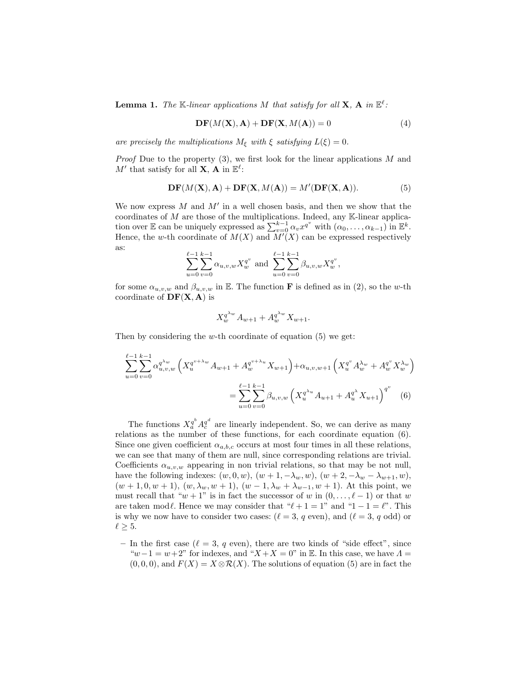**Lemma 1.** The K-linear applications M that satisfy for all **X**, A in  $\mathbb{E}^{\ell}$ :

$$
\mathbf{DF}(M(\mathbf{X}), \mathbf{A}) + \mathbf{DF}(\mathbf{X}, M(\mathbf{A})) = 0
$$
\n(4)

are precisely the multiplications  $M_{\xi}$  with  $\xi$  satisfying  $L(\xi) = 0$ .

*Proof* Due to the property  $(3)$ , we first look for the linear applications M and M' that satisfy for all **X**, **A** in  $\mathbb{E}^{\ell}$ :

$$
\mathbf{DF}(M(\mathbf{X}), \mathbf{A}) + \mathbf{DF}(\mathbf{X}, M(\mathbf{A})) = M'(\mathbf{DF}(\mathbf{X}, \mathbf{A})).
$$
 (5)

We now express  $M$  and  $M'$  in a well chosen basis, and then we show that the coordinates of  $M$  are those of the multiplications. Indeed, any  $K$ -linear application over E can be uniquely expressed as  $\sum_{v=0}^{k-1} \alpha_v x^{q^v}$  with  $(\alpha_0, \ldots, \alpha_{k-1})$  in  $\mathbb{E}^k$ . Hence, the w-th coordinate of  $M(X)$  and  $M'(X)$  can be expressed respectively as:

$$
\sum_{u=0}^{\ell-1} \sum_{v=0}^{k-1} \alpha_{u,v,w} X_w^{q^v} \text{ and } \sum_{u=0}^{\ell-1} \sum_{v=0}^{k-1} \beta_{u,v,w} X_w^{q^v},
$$

for some  $\alpha_{u,v,w}$  and  $\beta_{u,v,w}$  in E. The function **F** is defined as in (2), so the w-th coordinate of  $DF(X, A)$  is

$$
X_w^{q^{\lambda_w}} A_{w+1} + A_w^{q^{\lambda_w}} X_{w+1}.
$$

Then by considering the w-th coordinate of equation  $(5)$  we get:

$$
\sum_{u=0}^{\ell-1} \sum_{v=0}^{k-1} \alpha_{u,v,w}^{q^{\lambda w}} \left( X_u^{q^{v+\lambda_w}} A_{w+1} + A_w^{q^{v+\lambda_w}} X_{w+1} \right) + \alpha_{u,v,w+1} \left( X_u^{q^v} A_w^{\lambda_w} + A_w^{q^v} X_w^{\lambda_w} \right)
$$

$$
= \sum_{u=0}^{\ell-1} \sum_{v=0}^{k-1} \beta_{u,v,w} \left( X_u^{q^{\lambda_u}} A_{u+1} + A_u^{q^{\lambda}} X_{u+1} \right)^{q^v} \tag{6}
$$

The functions  $X_a^{q^b} A_c^{q^d}$  are linearly independent. So, we can derive as many relations as the number of these functions, for each coordinate equation (6). Since one given coefficient  $\alpha_{a,b,c}$  occurs at most four times in all these relations, we can see that many of them are null, since corresponding relations are trivial. Coefficients  $\alpha_{u,v,w}$  appearing in non trivial relations, so that may be not null, have the following indexes:  $(w, 0, w)$ ,  $(w + 1, -\lambda_w, w)$ ,  $(w + 2, -\lambda_w - \lambda_{w+1}, w)$ ,  $(w + 1, 0, w + 1), (w, \lambda_w, w + 1), (w - 1, \lambda_w + \lambda_{w-1}, w + 1).$  At this point, we must recall that " $w + 1$ " is in fact the successor of w in  $(0, \ldots, \ell - 1)$  or that w are taken mod $\ell$ . Hence we may consider that " $\ell + 1 = 1$ " and " $1 - 1 = \ell$ ". This is why we now have to consider two cases:  $(\ell = 3, q \text{ even})$ , and  $(\ell = 3, q \text{ odd})$  or  $\ell \geq 5.$ 

– In the first case ( $\ell = 3$ , q even), there are two kinds of "side effect", since " $w-1 = w+2$ " for indexes, and " $X+X=0$ " in E. In this case, we have  $\Lambda =$  $(0, 0, 0)$ , and  $F(X) = X \otimes \mathcal{R}(X)$ . The solutions of equation (5) are in fact the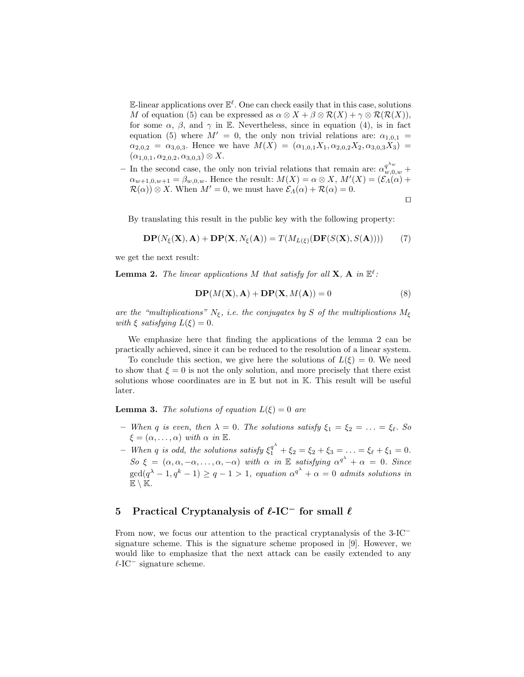E-linear applications over  $\mathbb{E}^{\ell}$ . One can check easily that in this case, solutions M of equation (5) can be expressed as  $\alpha \otimes X + \beta \otimes \mathcal{R}(X) + \gamma \otimes \mathcal{R}(\mathcal{R}(X)),$ for some  $\alpha$ ,  $\beta$ , and  $\gamma$  in E. Nevertheless, since in equation (4), is in fact equation (5) where  $M' = 0$ , the only non trivial relations are:  $\alpha_{1,0,1} =$  $\alpha_{2,0,2} = \alpha_{3,0,3}$ . Hence we have  $M(X) = (\alpha_{1,0,1}X_1, \alpha_{2,0,2}X_2, \alpha_{3,0,3}X_3)$  $(\alpha_{1,0,1}, \alpha_{2,0,2}, \alpha_{3,0,3}) \otimes X.$ 

– In the second case, the only non trivial relations that remain are:  $\alpha_{w,0,w}^{q^{\lambda_w}}$  +  $\alpha_{w+1,0,w+1} = \beta_{w,0,w}$ . Hence the result:  $M(X) = \alpha \otimes X, M'(X) = (\mathcal{E}_A(\alpha) + \alpha \otimes \alpha)$  $\mathcal{R}(\alpha)$ ) ⊗ X. When  $M'=0$ , we must have  $\mathcal{E}_\Lambda(\alpha) + \mathcal{R}(\alpha) = 0$ .

 $\Box$ 

By translating this result in the public key with the following property:

$$
\mathbf{DP}(N_{\xi}(\mathbf{X}), \mathbf{A}) + \mathbf{DP}(\mathbf{X}, N_{\xi}(\mathbf{A})) = T(M_{L(\xi)}(\mathbf{DF}(S(\mathbf{X}), S(\mathbf{A})))) \tag{7}
$$

we get the next result:

**Lemma 2.** The linear applications M that satisfy for all **X**, A in  $\mathbb{E}^{\ell}$ :

$$
DP(M(X), A) + DP(X, M(A)) = 0
$$
\n(8)

are the "multiplications"  $N_{\xi}$ , i.e. the conjugates by S of the multiplications  $M_{\xi}$ with  $\xi$  satisfying  $L(\xi) = 0$ .

We emphasize here that finding the applications of the lemma 2 can be practically achieved, since it can be reduced to the resolution of a linear system.

To conclude this section, we give here the solutions of  $L(\xi) = 0$ . We need to show that  $\xi = 0$  is not the only solution, and more precisely that there exist solutions whose coordinates are in  $E$  but not in  $K$ . This result will be useful later.

**Lemma 3.** The solutions of equation  $L(\xi) = 0$  are

- When q is even, then  $\lambda = 0$ . The solutions satisfy  $\xi_1 = \xi_2 = \ldots = \xi_\ell$ . So  $\xi = (\alpha, \dots, \alpha)$  with  $\alpha$  in  $\mathbb{E}$ .
- When q is odd, the solutions satisfy  $\xi_1^{q^{\lambda}} + \xi_2 = \xi_2 + \xi_3 = \ldots = \xi_{\ell} + \xi_1 = 0$ . So  $\xi = (\alpha, \alpha, -\alpha, \dots, \alpha, -\alpha)$  with  $\alpha$  in  $\mathbb E$  satisfying  $\alpha^{q^{\lambda}} + \alpha = 0$ . Since  $\gcd(q^{\lambda}-1, q^k-1) \ge q-1 > 1$ , equation  $\alpha^{q^{\lambda}} + \alpha = 0$  admits solutions in  $\mathbb{E} \setminus \mathbb{K}$ .

### 5 Practical Cryptanalysis of  $\ell$ -IC<sup>-</sup> for small  $\ell$

From now, we focus our attention to the practical cryptanalysis of the 3-IC<sup>−</sup> signature scheme. This is the signature scheme proposed in [9]. However, we would like to emphasize that the next attack can be easily extended to any  $\ell$ -IC<sup>−</sup> signature scheme.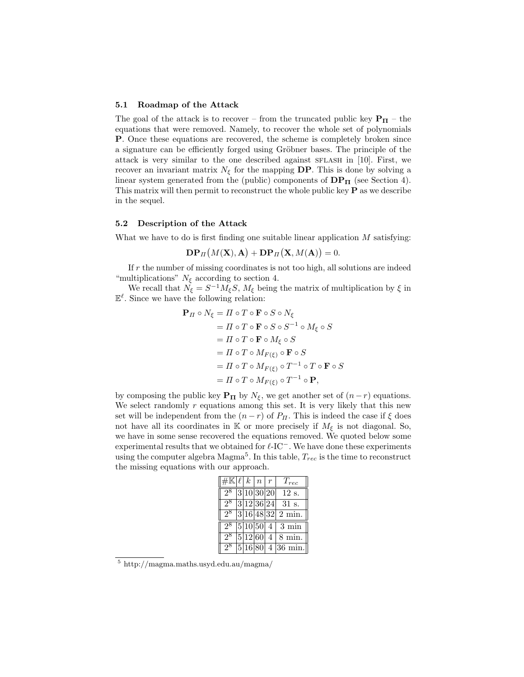#### 5.1 Roadmap of the Attack

The goal of the attack is to recover – from the truncated public key  $P_{\Pi}$  – the equations that were removed. Namely, to recover the whole set of polynomials P. Once these equations are recovered, the scheme is completely broken since a signature can be efficiently forged using Gröbner bases. The principle of the attack is very similar to the one described against sflash in [10]. First, we recover an invariant matrix  $N_{\xi}$  for the mapping **DP**. This is done by solving a linear system generated from the (public) components of  $DP_{\Pi}$  (see Section 4). This matrix will then permit to reconstruct the whole public key  $P$  as we describe in the sequel.

#### 5.2 Description of the Attack

What we have to do is first finding one suitable linear application  $M$  satisfying:

$$
\mathbf{DP}_{\Pi}(M(\mathbf{X}), \mathbf{A}) + \mathbf{DP}_{\Pi}(\mathbf{X}, M(\mathbf{A})) = 0.
$$

If  $r$  the number of missing coordinates is not too high, all solutions are indeed "multiplications"  $N_{\xi}$  according to section 4.

We recall that  $N_{\xi} = S^{-1} M_{\xi} S$ ,  $M_{\xi}$  being the matrix of multiplication by  $\xi$  in  $\mathbb{E}^{\ell}$ . Since we have the following relation:

$$
\begin{aligned} \mathbf{P}_{\Pi} \circ N_{\xi} &= \Pi \circ T \circ \mathbf{F} \circ S \circ N_{\xi} \\ &= \Pi \circ T \circ \mathbf{F} \circ S \circ S^{-1} \circ M_{\xi} \circ S \\ &= \Pi \circ T \circ \mathbf{F} \circ M_{\xi} \circ S \\ &= \Pi \circ T \circ M_{F(\xi)} \circ \mathbf{F} \circ S \\ &= \Pi \circ T \circ M_{F(\xi)} \circ T^{-1} \circ T \circ \mathbf{F} \circ S \\ &= \Pi \circ T \circ M_{F(\xi)} \circ T^{-1} \circ \mathbf{P}, \end{aligned}
$$

by composing the public key  $P_{\Pi}$  by  $N_{\xi}$ , we get another set of  $(n-r)$  equations. We select randomly  $r$  equations among this set. It is very likely that this new set will be independent from the  $(n - r)$  of  $P_{\Pi}$ . This is indeed the case if  $\xi$  does not have all its coordinates in K or more precisely if  $M_{\xi}$  is not diagonal. So, we have in some sense recovered the equations removed. We quoted below some experimental results that we obtained for  $\ell$ -IC<sup>−</sup>. We have done these experiments using the computer algebra  $M_{\text{agma}}^5$ . In this table,  $T_{rec}$  is the time to reconstruct the missing equations with our approach.

|                |  | $\overline{\#}\mathbb{K} \ell \,k\, \,n\, $ r | $T_{rec}$                    |
|----------------|--|-----------------------------------------------|------------------------------|
| $2^8$          |  | 3 10 30 20                                    | 12 s.                        |
| $2^8$          |  | 3 12 36 24                                    | 31 s.                        |
| $2^8$          |  |                                               | $ 3 16 48 32 2 \text{ min.}$ |
| 2 <sup>8</sup> |  |                                               | $ 5 10 50 4 3 \text{ min}$   |
| 2 <sup>8</sup> |  |                                               | $ 5 12 60 4 8$ min.          |
| 28             |  |                                               | $5 16 80 $ 4 36 min.         |

<sup>5</sup> http://magma.maths.usyd.edu.au/magma/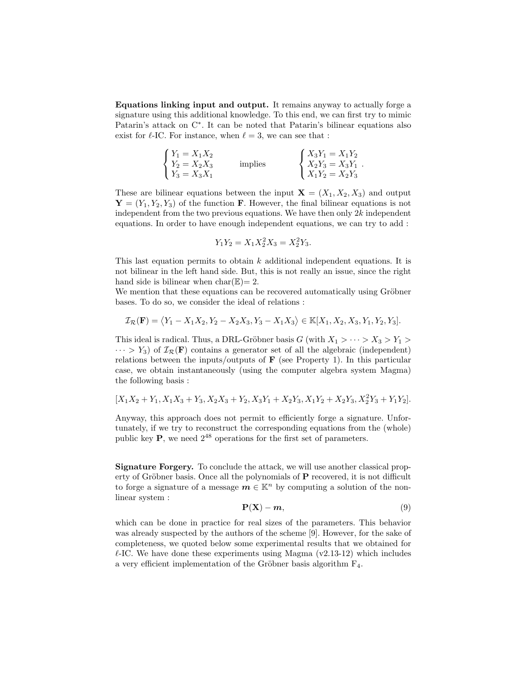Equations linking input and output. It remains anyway to actually forge a signature using this additional knowledge. To this end, we can first try to mimic Patarin's attack on C<sup>∗</sup> . It can be noted that Patarin's bilinear equations also exist for  $\ell$ -IC. For instance, when  $\ell = 3$ , we can see that :

$$
\begin{cases}\nY_1 = X_1 X_2 \\
Y_2 = X_2 X_3 \\
Y_3 = X_3 X_1\n\end{cases}
$$
 implies\n
$$
\begin{cases}\nX_3 Y_1 = X_1 Y_2 \\
X_2 Y_3 = X_3 Y_1 \\
X_1 Y_2 = X_2 Y_3\n\end{cases}
$$

These are bilinear equations between the input  $\mathbf{X} = (X_1, X_2, X_3)$  and output  $\mathbf{Y} = (Y_1, Y_2, Y_3)$  of the function **F**. However, the final bilinear equations is not independent from the two previous equations. We have then only  $2k$  independent equations. In order to have enough independent equations, we can try to add :

$$
Y_1 Y_2 = X_1 X_2^2 X_3 = X_2^2 Y_3.
$$

This last equation permits to obtain k additional independent equations. It is not bilinear in the left hand side. But, this is not really an issue, since the right hand side is bilinear when  $char(\mathbb{E})=2$ .

We mention that these equations can be recovered automatically using Gröbner bases. To do so, we consider the ideal of relations :

$$
\mathcal{I}_{\mathcal{R}}(\mathbf{F}) = \langle Y_1 - X_1 X_2, Y_2 - X_2 X_3, Y_3 - X_1 X_3 \rangle \in \mathbb{K}[X_1, X_2, X_3, Y_1, Y_2, Y_3].
$$

This ideal is radical. Thus, a DRL-Gröbner basis G (with  $X_1 > \cdots > X_3 > Y_1 >$  $\cdots > Y_3$ ) of  $\mathcal{I}_{\mathcal{R}}(\mathbf{F})$  contains a generator set of all the algebraic (independent) relations between the inputs/outputs of  $\bf{F}$  (see Property 1). In this particular case, we obtain instantaneously (using the computer algebra system Magma) the following basis :

$$
[X_1X_2+Y_1, X_1X_3+Y_3, X_2X_3+Y_2, X_3Y_1+X_2Y_3, X_1Y_2+X_2Y_3, X_2^2Y_3+Y_1Y_2].
$$

Anyway, this approach does not permit to efficiently forge a signature. Unfortunately, if we try to reconstruct the corresponding equations from the (whole) public key  $P$ , we need  $2^{48}$  operations for the first set of parameters.

Signature Forgery. To conclude the attack, we will use another classical property of Gröbner basis. Once all the polynomials of  $P$  recovered, it is not difficult to forge a signature of a message  $m \in \mathbb{K}^n$  by computing a solution of the nonlinear system :

$$
\mathbf{P}(\mathbf{X}) - \mathbf{m},\tag{9}
$$

which can be done in practice for real sizes of the parameters. This behavior was already suspected by the authors of the scheme [9]. However, for the sake of completeness, we quoted below some experimental results that we obtained for  $\ell$ -IC. We have done these experiments using Magma (v2.13-12) which includes a very efficient implementation of the Gröbner basis algorithm  $F_4$ .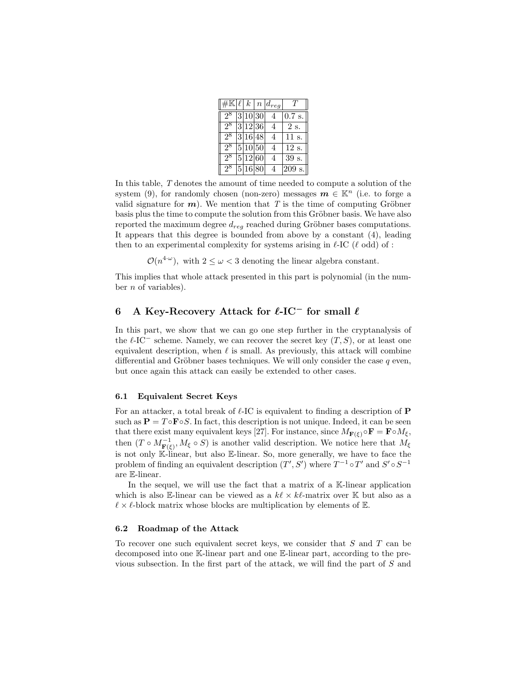|       |  |         | $\overline{\#K\ell}$ k   n $\left d_{reg}\right $ | T        |
|-------|--|---------|---------------------------------------------------|----------|
| $2^8$ |  | 3 10 30 | $\overline{4}$                                    | $0.7$ s. |
| $2^8$ |  | 3 12 36 | $\overline{4}$                                    | 2 s.     |
| 28    |  | 3 16 48 | 4                                                 | 11 s.    |
| $2^8$ |  | 5 10 50 | $\overline{4}$                                    | 12 s.    |
| 28    |  | 5 12 60 | $\overline{4}$                                    | 39 s.    |
| 28    |  | 5 16 80 |                                                   | 209 s.   |

In this table, T denotes the amount of time needed to compute a solution of the system (9), for randomly chosen (non-zero) messages  $m \in \mathbb{K}^n$  (i.e. to forge a valid signature for  $m$ ). We mention that T is the time of computing Gröbner basis plus the time to compute the solution from this Gröbner basis. We have also reported the maximum degree  $d_{req}$  reached during Gröbner bases computations. It appears that this degree is bounded from above by a constant (4), leading then to an experimental complexity for systems arising in  $\ell$ -IC ( $\ell$  odd) of :

 $\mathcal{O}(n^{4-\omega})$ , with  $2 \leq \omega < 3$  denoting the linear algebra constant.

This implies that whole attack presented in this part is polynomial (in the number  $n$  of variables).

# 6 A Key-Recovery Attack for  $\ell$ -IC<sup>-</sup> for small  $\ell$

In this part, we show that we can go one step further in the cryptanalysis of the  $\ell$ -IC<sup>-</sup> scheme. Namely, we can recover the secret key  $(T, S)$ , or at least one equivalent description, when  $\ell$  is small. As previously, this attack will combine differential and Gröbner bases techniques. We will only consider the case  $q$  even, but once again this attack can easily be extended to other cases.

#### 6.1 Equivalent Secret Keys

For an attacker, a total break of  $\ell$ -IC is equivalent to finding a description of **P** such as  $\mathbf{P} = T \circ \mathbf{F} \circ S$ . In fact, this description is not unique. Indeed, it can be seen that there exist many equivalent keys [27]. For instance, since  $M_{\mathbf{F}(\xi)} \circ \mathbf{F} = \mathbf{F} \circ M_{\xi}$ , then  $(T \circ M_{\mathbf{F}(\xi)}^{-1}, M_{\xi} \circ S)$  is another valid description. We notice here that  $M_{\xi}$ is not only K-linear, but also E-linear. So, more generally, we have to face the problem of finding an equivalent description  $(T', S')$  where  $T^{-1} \circ T'$  and  $S' \circ S^{-1}$ are E-linear.

In the sequel, we will use the fact that a matrix of a K-linear application which is also E-linear can be viewed as a  $k\ell \times k\ell$ -matrix over K but also as a  $\ell \times \ell$ -block matrix whose blocks are multiplication by elements of  $\mathbb{E}$ .

# 6.2 Roadmap of the Attack

To recover one such equivalent secret keys, we consider that S and T can be decomposed into one K-linear part and one E-linear part, according to the previous subsection. In the first part of the attack, we will find the part of S and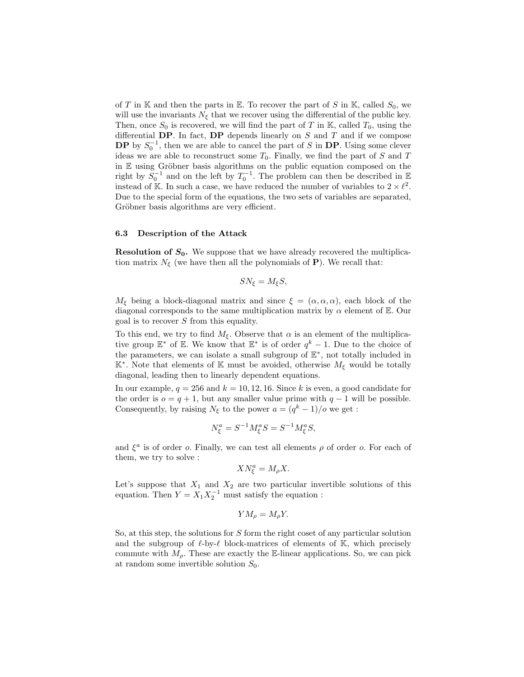of T in K and then the parts in E. To recover the part of S in K, called  $S_0$ , we will use the invariants  $N_{\xi}$  that we recover using the differential of the public key. Then, once  $S_0$  is recovered, we will find the part of T in K, called  $T_0$ , using the differential  $\mathbf{DP}$ . In fact,  $\mathbf{DP}$  depends linearly on S and T and if we compose **DP** by  $S_0^{-1}$ , then we are able to cancel the part of S in **DP**. Using some clever ideas we are able to reconstruct some  $T_0$ . Finally, we find the part of S and T in  $E$  using Gröbner basis algorithms on the public equation composed on the right by  $S_0^{-1}$  and on the left by  $T_0^{-1}$ . The problem can then be described in E instead of K. In such a case, we have reduced the number of variables to  $2 \times \ell^2$ . Due to the special form of the equations, the two sets of variables are separated, Gröbner basis algorithms are very efficient.

#### 6.3 Description of the Attack

**Resolution of**  $S_0$ **.** We suppose that we have already recovered the multiplication matrix  $N_{\xi}$  (we have then all the polynomials of **P**). We recall that:

$$
SN_{\xi}=M_{\xi}S,
$$

 $M_{\xi}$  being a block-diagonal matrix and since  $\xi = (\alpha, \alpha, \alpha)$ , each block of the diagonal corresponds to the same multiplication matrix by  $\alpha$  element of E. Our goal is to recover  $S$  from this equality.

To this end, we try to find  $M_{\xi}$ . Observe that  $\alpha$  is an element of the multiplicative group  $\mathbb{E}^*$  of  $\mathbb{E}$ . We know that  $\mathbb{E}^*$  is of order  $q^k-1$ . Due to the choice of the parameters, we can isolate a small subgroup of  $\mathbb{E}^*$ , not totally included in  $\mathbb{K}^*$ . Note that elements of  $\mathbb K$  must be avoided, otherwise  $M_{\xi}$  would be totally diagonal, leading then to linearly dependent equations.

In our example,  $q = 256$  and  $k = 10, 12, 16$ . Since k is even, a good candidate for the order is  $o = q + 1$ , but any smaller value prime with  $q - 1$  will be possible. Consequently, by raising  $N_{\xi}$  to the power  $a = (q^k - 1)/o$  we get :

$$
N_{\xi}^{a} = S^{-1} M_{\xi}^{a} S = S^{-1} M_{\xi}^{a} S,
$$

and  $\xi^a$  is of order o. Finally, we can test all elements  $\rho$  of order o. For each of them, we try to solve :

$$
X N_{\xi}^{a} = M_{\rho} X.
$$

Let's suppose that  $X_1$  and  $X_2$  are two particular invertible solutions of this equation. Then  $Y = X_1 X_2^{-1}$  must satisfy the equation :

$$
YM_{\rho} = M_{\rho}Y.
$$

So, at this step, the solutions for S form the right coset of any particular solution and the subgroup of  $\ell$ -by- $\ell$  block-matrices of elements of K, which precisely commute with  $M<sub>o</sub>$ . These are exactly the E-linear applications. So, we can pick at random some invertible solution  $S_0$ .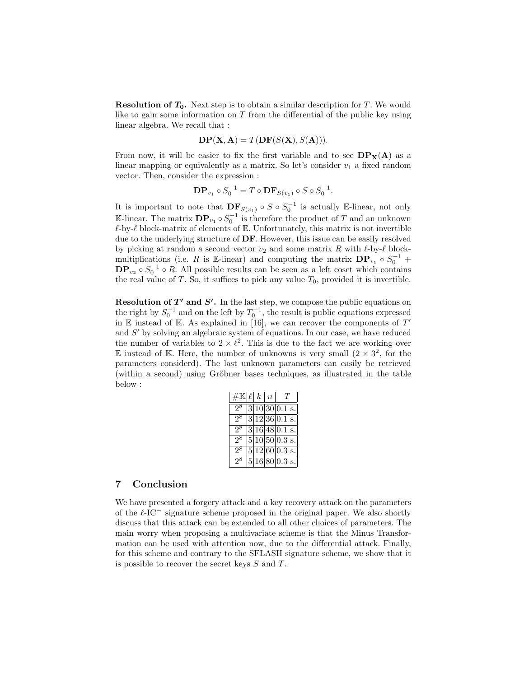**Resolution of**  $T_0$ **.** Next step is to obtain a similar description for  $T$ . We would like to gain some information on  $T$  from the differential of the public key using linear algebra. We recall that :

$$
\mathbf{DP}(\mathbf{X}, \mathbf{A}) = T(\mathbf{DF}(S(\mathbf{X}), S(\mathbf{A}))).
$$

From now, it will be easier to fix the first variable and to see  $DP_X(A)$  as a linear mapping or equivalently as a matrix. So let's consider  $v_1$  a fixed random vector. Then, consider the expression :

$$
\mathbf{DP}_{v_1} \circ S_0^{-1} = T \circ \mathbf{DF}_{S(v_1)} \circ S \circ S_0^{-1}.
$$

It is important to note that  $DF_{S(v_1)} \circ S \circ S_0^{-1}$  is actually E-linear, not only K-linear. The matrix  $\mathbf{DP}_{v_1} \circ S_0^{-1}$  is therefore the product of T and an unknown  $\ell$ -by- $\ell$  block-matrix of elements of E. Unfortunately, this matrix is not invertible due to the underlying structure of DF. However, this issue can be easily resolved by picking at random a second vector  $v_2$  and some matrix R with  $\ell$ -by- $\ell$  blockmultiplications (i.e. R is E-linear) and computing the matrix  $\mathbf{DP}_{v_1} \circ S_0^{-1}$  +  $DP_{v_2} \circ S_0^{-1} \circ R$ . All possible results can be seen as a left coset which contains the real value of  $T$ . So, it suffices to pick any value  $T_0$ , provided it is invertible.

**Resolution of T'** and  $S'$ . In the last step, we compose the public equations on the right by  $S_0^{-1}$  and on the left by  $T_0^{-1}$ , the result is public equations expressed in  $\mathbb E$  instead of K. As explained in [16], we can recover the components of  $T'$ and S' by solving an algebraic system of equations. In our case, we have reduced the number of variables to  $2 \times \ell^2$ . This is due to the fact we are working over E instead of K. Here, the number of unknowns is very small  $(2 \times 3^2)$ , for the parameters considerd). The last unknown parameters can easily be retrieved (within a second) using Gröbner bases techniques, as illustrated in the table below :

| $\#\mathbb{K} \ell  k$ |  | $\lfloor n \rfloor$ |                             |
|------------------------|--|---------------------|-----------------------------|
| 2 <sup>8</sup>         |  |                     | $\sqrt{3 10 30 0.1}$ s.     |
| $2^8$                  |  |                     | $ 3 12 36 0.1$ s.           |
| $2^8$                  |  |                     | $3 16 48 0.1$ s.            |
| 98                     |  |                     | $5 10 50 0.3$ s.            |
| $2^{\circ}$            |  |                     | $\overline{5 12 }60 0.3$ s. |
| $2^{\circ}$            |  |                     | $\overline{5 16 }80 0.3$ s. |

### 7 Conclusion

We have presented a forgery attack and a key recovery attack on the parameters of the  $\ell$ -IC<sup>-</sup> signature scheme proposed in the original paper. We also shortly discuss that this attack can be extended to all other choices of parameters. The main worry when proposing a multivariate scheme is that the Minus Transformation can be used with attention now, due to the differential attack. Finally, for this scheme and contrary to the SFLASH signature scheme, we show that it is possible to recover the secret keys S and T.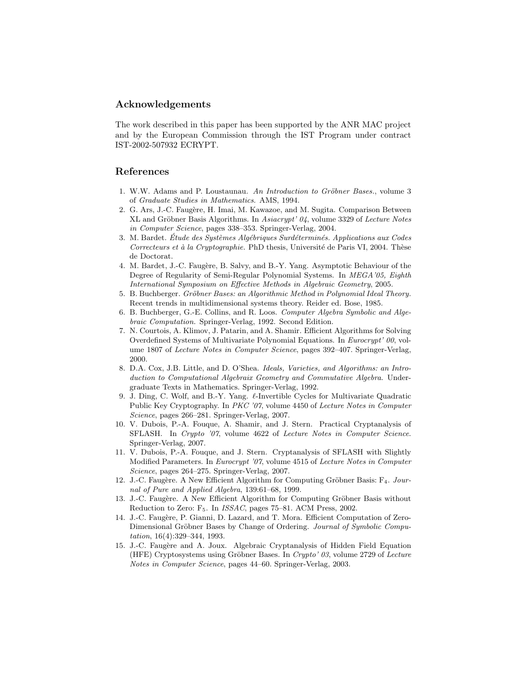### Acknowledgements

The work described in this paper has been supported by the ANR MAC project and by the European Commission through the IST Program under contract IST-2002-507932 ECRYPT.

# References

- 1. W.W. Adams and P. Loustaunau. An Introduction to Gröbner Bases., volume 3 of Graduate Studies in Mathematics. AMS, 1994.
- 2. G. Ars, J.-C. Faugère, H. Imai, M. Kawazoe, and M. Sugita. Comparison Between XL and Gröbner Basis Algorithms. In  $\text{Asiacrypt'}\,04$ , volume 3329 of Lecture Notes in Computer Science, pages 338–353. Springer-Verlag, 2004.
- 3. M. Bardet. Etude des Systèmes Algébriques Surdéterminés. Applications aux Codes Correcteurs et à la Cryptographie. PhD thesis, Université de Paris VI, 2004. Thèse de Doctorat.
- 4. M. Bardet, J.-C. Faug`ere, B. Salvy, and B.-Y. Yang. Asymptotic Behaviour of the Degree of Regularity of Semi-Regular Polynomial Systems. In MEGA'05, Eighth International Symposium on Effective Methods in Algebraic Geometry, 2005.
- 5. B. Buchberger. Gröbner Bases: an Algorithmic Method in Polynomial Ideal Theory. Recent trends in multidimensional systems theory. Reider ed. Bose, 1985.
- 6. B. Buchberger, G.-E. Collins, and R. Loos. Computer Algebra Symbolic and Algebraic Computation. Springer-Verlag, 1992. Second Edition.
- 7. N. Courtois, A. Klimov, J. Patarin, and A. Shamir. Efficient Algorithms for Solving Overdefined Systems of Multivariate Polynomial Equations. In Eurocrypt' 00, volume 1807 of Lecture Notes in Computer Science, pages 392–407. Springer-Verlag, 2000.
- 8. D.A. Cox, J.B. Little, and D. O'Shea. Ideals, Varieties, and Algorithms: an Introduction to Computational Algebraix Geometry and Commutative Algebra. Undergraduate Texts in Mathematics. Springer-Verlag, 1992.
- 9. J. Ding, C. Wolf, and B.-Y. Yang.  $\ell$ -Invertible Cycles for Multivariate Quadratic Public Key Cryptography. In PKC '07, volume 4450 of Lecture Notes in Computer Science, pages 266–281. Springer-Verlag, 2007.
- 10. V. Dubois, P.-A. Fouque, A. Shamir, and J. Stern. Practical Cryptanalysis of SFLASH. In Crypto '07, volume 4622 of Lecture Notes in Computer Science. Springer-Verlag, 2007.
- 11. V. Dubois, P.-A. Fouque, and J. Stern. Cryptanalysis of SFLASH with Slightly Modified Parameters. In Eurocrypt '07, volume 4515 of Lecture Notes in Computer Science, pages 264–275. Springer-Verlag, 2007.
- 12. J.-C. Faugère. A New Efficient Algorithm for Computing Gröbner Basis:  $F_4$ . Journal of Pure and Applied Algebra, 139:61–68, 1999.
- 13. J.-C. Faugère. A New Efficient Algorithm for Computing Gröbner Basis without Reduction to Zero: F<sub>5</sub>. In *ISSAC*, pages 75–81. ACM Press, 2002.
- 14. J.-C. Faugère, P. Gianni, D. Lazard, and T. Mora. Efficient Computation of Zero-Dimensional Gröbner Bases by Change of Ordering. Journal of Symbolic Computation, 16(4):329–344, 1993.
- 15. J.-C. Faug`ere and A. Joux. Algebraic Cryptanalysis of Hidden Field Equation (HFE) Cryptosystems using Gröbner Bases. In Crypto' 03, volume 2729 of Lecture Notes in Computer Science, pages 44–60. Springer-Verlag, 2003.